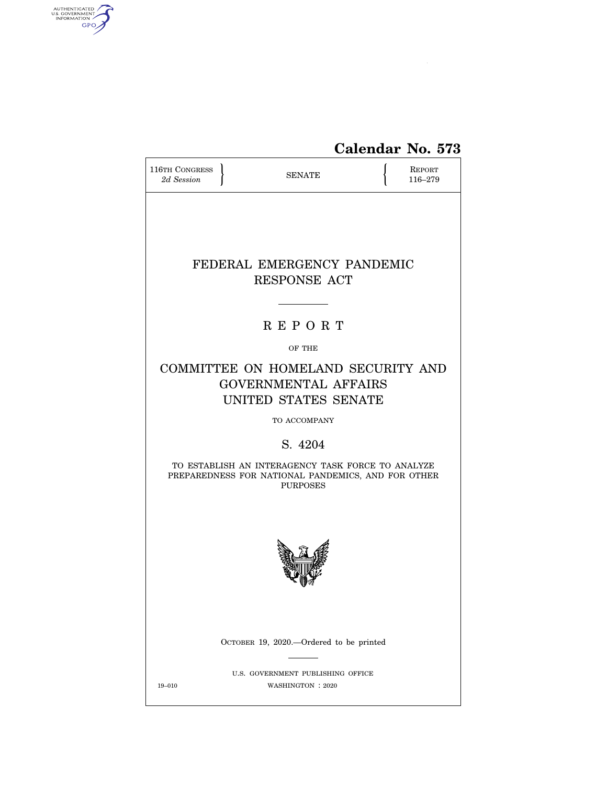

# **Calendar No. 573**

| 116TH CONGRESS<br>2d Session                                                              |  | <b>SENATE</b>                                                                                                              |  | REPORT<br>116-279 |  |
|-------------------------------------------------------------------------------------------|--|----------------------------------------------------------------------------------------------------------------------------|--|-------------------|--|
|                                                                                           |  | FEDERAL EMERGENCY PANDEMIC<br><b>RESPONSE ACT</b>                                                                          |  |                   |  |
|                                                                                           |  |                                                                                                                            |  |                   |  |
|                                                                                           |  | <b>REPORT</b>                                                                                                              |  |                   |  |
|                                                                                           |  | OF THE                                                                                                                     |  |                   |  |
| COMMITTEE ON HOMELAND SECURITY AND<br><b>GOVERNMENTAL AFFAIRS</b><br>UNITED STATES SENATE |  |                                                                                                                            |  |                   |  |
|                                                                                           |  | TO ACCOMPANY                                                                                                               |  |                   |  |
|                                                                                           |  | S. 4204                                                                                                                    |  |                   |  |
|                                                                                           |  | TO ESTABLISH AN INTERAGENCY TASK FORCE TO ANALYZE<br>PREPAREDNESS FOR NATIONAL PANDEMICS, AND FOR OTHER<br><b>PURPOSES</b> |  |                   |  |
|                                                                                           |  |                                                                                                                            |  |                   |  |
|                                                                                           |  | OCTOBER 19, 2020.—Ordered to be printed                                                                                    |  |                   |  |
| $19 - 010$                                                                                |  | U.S. GOVERNMENT PUBLISHING OFFICE<br>WASHINGTON: 2020                                                                      |  |                   |  |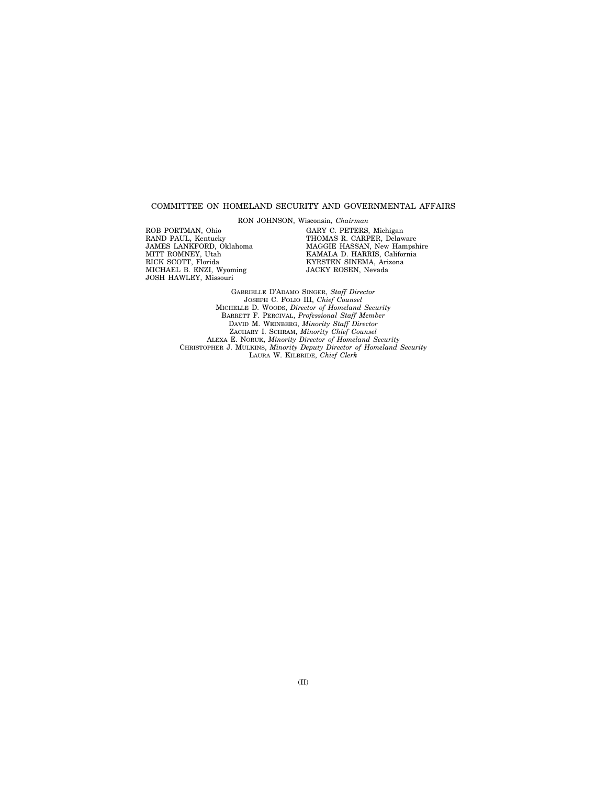# COMMITTEE ON HOMELAND SECURITY AND GOVERNMENTAL AFFAIRS

RON JOHNSON, Wisconsin, *Chairman* 

ROB PORTMAN, Ohio RAND PAUL, Kentucky JAMES LANKFORD, Oklahoma MITT ROMNEY, Utah RICK SCOTT, Florida MICHAEL B. ENZI, Wyoming JOSH HAWLEY, Missouri

GARY C. PETERS, Michigan THOMAS R. CARPER, Delaware MAGGIE HASSAN, New Hampshire KAMALA D. HARRIS, California KYRSTEN SINEMA, Arizona JACKY ROSEN, Nevada

GABRIELLE D'ADAMO SINGER, *Staff Director*  JOSEPH C. FOLIO III, *Chief Counsel*  MICHELLE D. WOODS, *Director of Homeland Security*  BARRETT F. PERCIVAL, *Professional Staff Member*  DAVID M. WEINBERG, *Minority Staff Director*  ZACHARY I. SCHRAM, *Minority Chief Counsel*  ALEXA E. NORUK, *Minority Director of Homeland Security*  CHRISTOPHER J. MULKINS, *Minority Deputy Director of Homeland Security*  LAURA W. KILBRIDE, *Chief Clerk*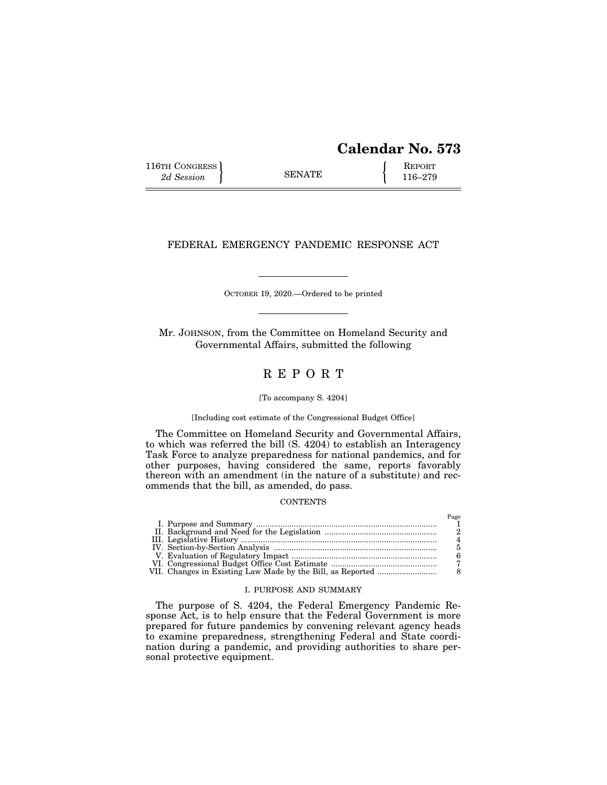# **Calendar No. 573**

Page

116TH CONGRESS **REPORT** 2d Session **116–279** 

# FEDERAL EMERGENCY PANDEMIC RESPONSE ACT

OCTOBER 19, 2020.—Ordered to be printed

Mr. JOHNSON, from the Committee on Homeland Security and Governmental Affairs, submitted the following

# R E P O R T

# [To accompany S. 4204]

# [Including cost estimate of the Congressional Budget Office]

The Committee on Homeland Security and Governmental Affairs, to which was referred the bill (S. 4204) to establish an Interagency Task Force to analyze preparedness for national pandemics, and for other purposes, having considered the same, reports favorably thereon with an amendment (in the nature of a substitute) and recommends that the bill, as amended, do pass.

# **CONTENTS**

|  | 1 use |
|--|-------|
|  |       |
|  |       |
|  |       |
|  |       |
|  |       |
|  |       |
|  |       |

# I. PURPOSE AND SUMMARY

The purpose of S. 4204, the Federal Emergency Pandemic Response Act, is to help ensure that the Federal Government is more prepared for future pandemics by convening relevant agency heads to examine preparedness, strengthening Federal and State coordination during a pandemic, and providing authorities to share personal protective equipment.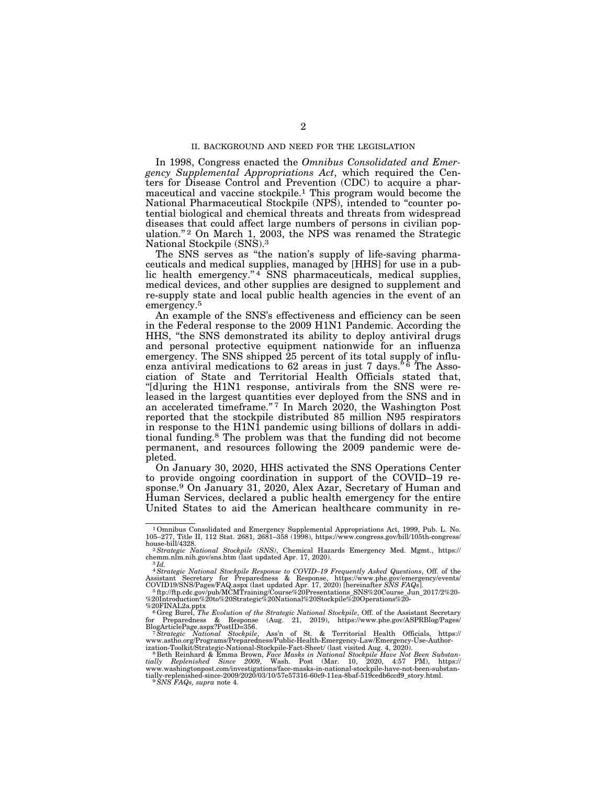# II. BACKGROUND AND NEED FOR THE LEGISLATION

In 1998, Congress enacted the *Omnibus Consolidated and Emergency Supplemental Appropriations Act*, which required the Centers for Disease Control and Prevention (CDC) to acquire a pharmaceutical and vaccine stockpile.1 This program would become the National Pharmaceutical Stockpile (NPS), intended to ''counter potential biological and chemical threats and threats from widespread diseases that could affect large numbers of persons in civilian population."<sup>2</sup> On March 1, 2003, the NPS was renamed the Strategic National Stockpile (SNS).3

The SNS serves as "the nation's supply of life-saving pharmaceuticals and medical supplies, managed by [HHS] for use in a public health emergency." $4$  SNS pharmaceuticals, medical supplies, medical devices, and other supplies are designed to supplement and re-supply state and local public health agencies in the event of an emergency.<sup>5</sup>

An example of the SNS's effectiveness and efficiency can be seen in the Federal response to the 2009 H1N1 Pandemic. According the HHS, ''the SNS demonstrated its ability to deploy antiviral drugs and personal protective equipment nationwide for an influenza emergency. The SNS shipped 25 percent of its total supply of influenza antiviral medications to  $62$  areas in just 7 days.<sup>\*</sup>  $\mathbf{\hat{6}}$  The Association of State and Territorial Health Officials stated that, "[d]uring the H1N1 response, antivirals from the SNS were released in the largest quantities ever deployed from the SNS and in an accelerated timeframe."<sup>7</sup> In March 2020, the Washington Post reported that the stockpile distributed 85 million N95 respirators in response to the H1N1 pandemic using billions of dollars in additional funding.8 The problem was that the funding did not become permanent, and resources following the 2009 pandemic were depleted.

On January 30, 2020, HHS activated the SNS Operations Center to provide ongoing coordination in support of the COVID–19 response.9 On January 31, 2020, Alex Azar, Secretary of Human and Human Services, declared a public health emergency for the entire United States to aid the American healthcare community in re-

<sup>1</sup>Omnibus Consolidated and Emergency Supplemental Appropriations Act, 1999, Pub. L. No. 105–277, Title II, 112 Stat. 2681, 2681–358 (1998), https://www.congress.gov/bill/105th-congress/ house-bill/4328. 2*Strategic National Stockpile (SNS)*, Chemical Hazards Emergency Med. Mgmt., https://

chemm.nlm.nih.gov/sns.htm (last updated Apr. 17, 2020). 3 *Id.* 

 $^4$ Strategic National Stockpile Response to COVID–19 Frequently Asked Questions, Off. of the Assistant Secretary for Preparedness & Response, https://www.phe.gov/emergency/events/COVID19/SNS/Pages/FAQ.aspx (last updated

<sup>%20</sup>FINAL2a.pptx<br><sup>6</sup> Greg Burel, *The Evolution of the Strategic National Stockpile*, Off. of the Assistant Secretary<br>for Preparedness & Response (Aug. 21, 2019), https://www.phe.gov/ASPRBlog/Pages/

BlogArticlePage.aspx?PostID=356.<br><sup>7</sup> Strategic National Stockpile, Ass'n of St. & Territorial Health Officials, https://<br>www.astho.org/Programs/Preparedness/Public-Health-Emergency-Law/Emergency-Use-Author-

ization-Toolkit/Strategic-National-Stockpile-Fact-Sheet/ (last visited Aug. 4, 2020).<br>"Beth Reinhard & Emma Brown, *Face Masks in National Stockpile Have Not Been Substan-*<br>tially Replenished Since 2009, Wash. Po www.washingtonpost.com/investigations/face-masks-in-national-stockpile-have-not-been-substan-tially-replenished-since-2009/2020/03/10/57e57316-60c9-11ea-8baf-519cedb6ccd9\_story.html. 9*SNS FAQs, supra* note 4.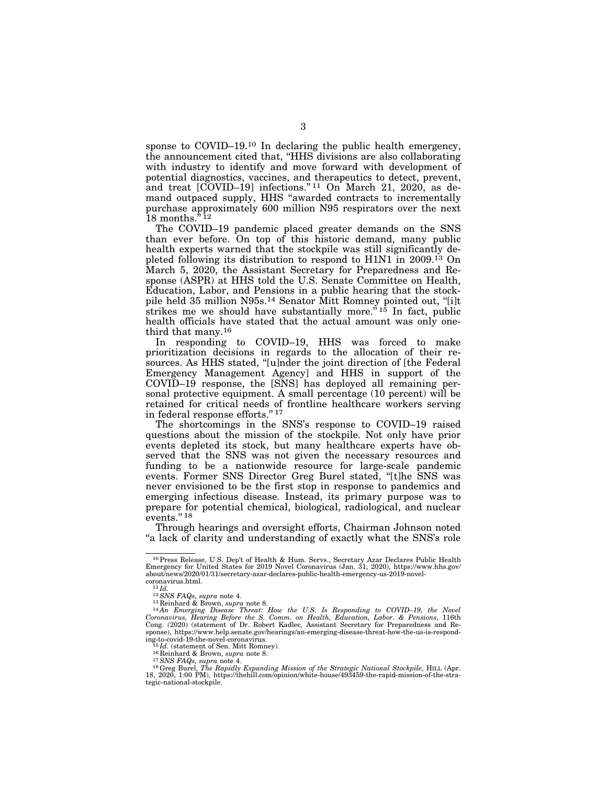sponse to COVID–19.<sup>10</sup> In declaring the public health emergency, the announcement cited that, ''HHS divisions are also collaborating with industry to identify and move forward with development of potential diagnostics, vaccines, and therapeutics to detect, prevent, and treat [COVID–19] infections."<sup>11</sup> On March 21, 2020, as demand outpaced supply, HHS ''awarded contracts to incrementally purchase approximately 600 million N95 respirators over the next 18 months. $i$ <sup>12</sup>

The COVID–19 pandemic placed greater demands on the SNS than ever before. On top of this historic demand, many public health experts warned that the stockpile was still significantly depleted following its distribution to respond to H1N1 in 2009.13 On March 5, 2020, the Assistant Secretary for Preparedness and Response (ASPR) at HHS told the U.S. Senate Committee on Health, Education, Labor, and Pensions in a public hearing that the stockpile held 35 million N95s.14 Senator Mitt Romney pointed out, ''[i]t strikes me we should have substantially more.<sup> $\dot{r}$ 15 In fact, public</sup> health officials have stated that the actual amount was only onethird that many.16

In responding to COVID–19, HHS was forced to make prioritization decisions in regards to the allocation of their resources. As HHS stated, ''[u]nder the joint direction of [the Federal Emergency Management Agency] and HHS in support of the COVID–19 response, the [SNS] has deployed all remaining personal protective equipment. A small percentage (10 percent) will be retained for critical needs of frontline healthcare workers serving in federal response efforts.'' 17

The shortcomings in the SNS's response to COVID–19 raised questions about the mission of the stockpile. Not only have prior events depleted its stock, but many healthcare experts have observed that the SNS was not given the necessary resources and funding to be a nationwide resource for large-scale pandemic events. Former SNS Director Greg Burel stated, ''[t]he SNS was never envisioned to be the first stop in response to pandemics and emerging infectious disease. Instead, its primary purpose was to prepare for potential chemical, biological, radiological, and nuclear events."<sup>18</sup>

Through hearings and oversight efforts, Chairman Johnson noted "a lack of clarity and understanding of exactly what the SNS's role

<sup>10</sup>Press Release, U.S. Dep't of Health & Hum. Servs., Secretary Azar Declares Public Health Emergency for United States for 2019 Novel Coronavirus (Jan. 31, 2020), https://www.hhs.gov/ about/news/2020/01/31/secretary-azar-declares-public-health-emergency-us-2019-novel-

coronavirus.html.<br>  $^{11}$ Id.<br>  $^{12}$ SNS FAQs, supra note 4.<br>  $^{13}$ Reinhard & Brown, supra note 8.<br>  $^{14}$ An Emerging Disease Threat: How the U.S. Is Responding to COVID–19, the Novel<br>
Coronavirus, Hearing Before the S. C Cong. (2020) (statement of Dr. Robert Kadlec, Assistant Secretary for Preparedness and Response), https://www.help.senate.gov/hearings/an-emerging-disease-threat-how-the-us-is-responding-to-covid-19-the-novel-coronavirus.  $^{15}Id.$  (statement of Sen. Mitt Romney).

<sup>&</sup>lt;sup>16</sup> Reinhard & Brown, *supra* note 8.<br><sup>17</sup> SNS FAQs, supra note 4.<br><sup>17</sup> SNS FAQs, supra note 4.<br><sup>18</sup> Greg Burel, *The Rapidly Expanding Mission of the Strategic National Stockpile*, HILL (Apr. 18, 2020, 1:00 PM), https://thehill.com/opinion/white-house/493459-the-rapid-mission-of-the-strategic-national-stockpile.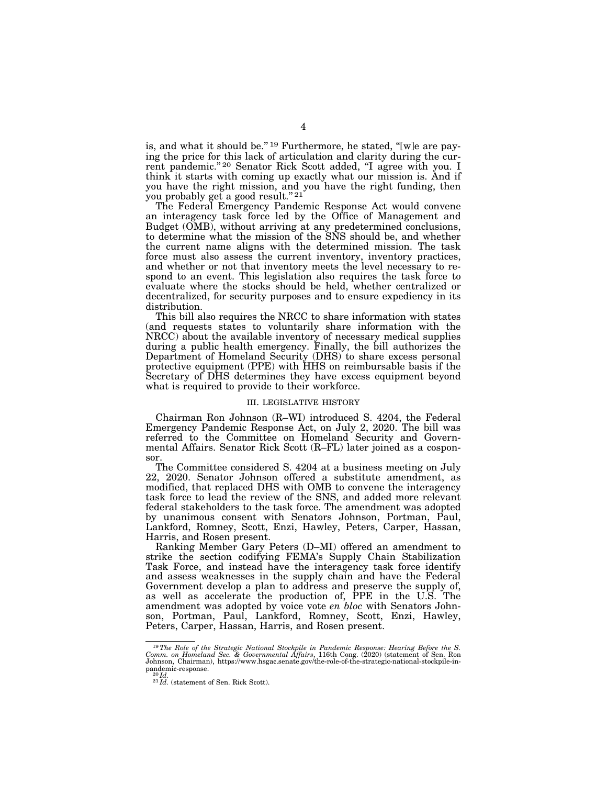is, and what it should be."<sup>19</sup> Furthermore, he stated, "[w]e are paying the price for this lack of articulation and clarity during the current pandemic."<sup>20</sup> Senator Rick Scott added, "I agree with you. I think it starts with coming up exactly what our mission is. And if you have the right mission, and you have the right funding, then you probably get a good result."<sup>21</sup>

The Federal Emergency Pandemic Response Act would convene an interagency task force led by the Office of Management and Budget (OMB), without arriving at any predetermined conclusions, to determine what the mission of the SNS should be, and whether the current name aligns with the determined mission. The task force must also assess the current inventory, inventory practices, and whether or not that inventory meets the level necessary to respond to an event. This legislation also requires the task force to evaluate where the stocks should be held, whether centralized or decentralized, for security purposes and to ensure expediency in its distribution.

This bill also requires the NRCC to share information with states (and requests states to voluntarily share information with the NRCC) about the available inventory of necessary medical supplies during a public health emergency. Finally, the bill authorizes the Department of Homeland Security (DHS) to share excess personal protective equipment (PPE) with HHS on reimbursable basis if the Secretary of DHS determines they have excess equipment beyond what is required to provide to their workforce.

#### III. LEGISLATIVE HISTORY

Chairman Ron Johnson (R–WI) introduced S. 4204, the Federal Emergency Pandemic Response Act, on July 2, 2020. The bill was referred to the Committee on Homeland Security and Governmental Affairs. Senator Rick Scott (R–FL) later joined as a cosponsor.

The Committee considered S. 4204 at a business meeting on July 22, 2020. Senator Johnson offered a substitute amendment, as modified, that replaced DHS with OMB to convene the interagency task force to lead the review of the SNS, and added more relevant federal stakeholders to the task force. The amendment was adopted by unanimous consent with Senators Johnson, Portman, Paul, Lankford, Romney, Scott, Enzi, Hawley, Peters, Carper, Hassan, Harris, and Rosen present.

Ranking Member Gary Peters (D–MI) offered an amendment to strike the section codifying FEMA's Supply Chain Stabilization Task Force, and instead have the interagency task force identify and assess weaknesses in the supply chain and have the Federal Government develop a plan to address and preserve the supply of, as well as accelerate the production of, PPE in the U.S. The amendment was adopted by voice vote *en bloc* with Senators Johnson, Portman, Paul, Lankford, Romney, Scott, Enzi, Hawley, Peters, Carper, Hassan, Harris, and Rosen present.

<sup>&</sup>lt;sup>19</sup>The Role of the Strategic National Stockpile in Pandemic Response: Hearing Before the S. Comm. on Homeland Sec. & Governmental Affairs, 116th Cong. (2020) (statement of Sen. Ron Johnson, Chairman), https://www.hsgac.s pandemic-response. <sup>20</sup> *Id.* <sup>20</sup> *Id.* (statement of Sen. Rick Scott).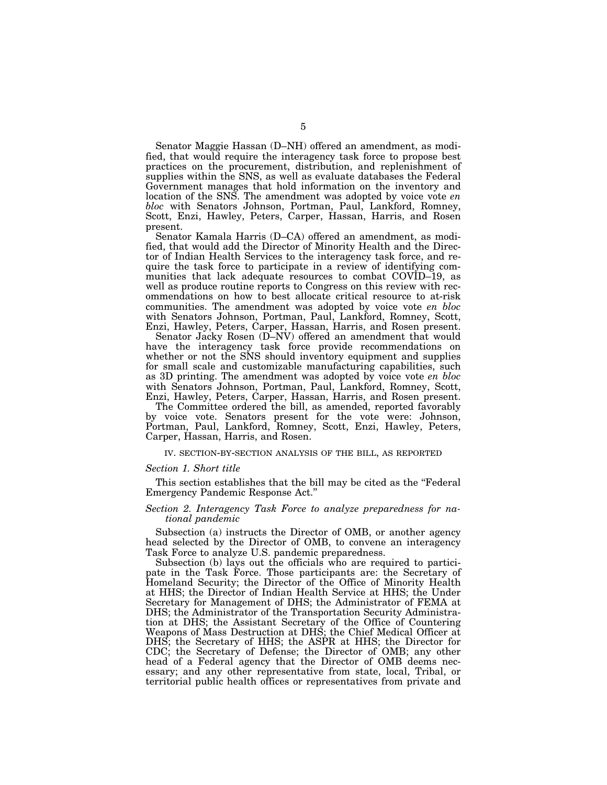Senator Maggie Hassan (D–NH) offered an amendment, as modified, that would require the interagency task force to propose best practices on the procurement, distribution, and replenishment of supplies within the SNS, as well as evaluate databases the Federal Government manages that hold information on the inventory and location of the SNS. The amendment was adopted by voice vote *en bloc* with Senators Johnson, Portman, Paul, Lankford, Romney, Scott, Enzi, Hawley, Peters, Carper, Hassan, Harris, and Rosen present.

Senator Kamala Harris (D–CA) offered an amendment, as modified, that would add the Director of Minority Health and the Director of Indian Health Services to the interagency task force, and require the task force to participate in a review of identifying communities that lack adequate resources to combat COVID–19, as well as produce routine reports to Congress on this review with recommendations on how to best allocate critical resource to at-risk communities. The amendment was adopted by voice vote *en bloc*  with Senators Johnson, Portman, Paul, Lankford, Romney, Scott, Enzi, Hawley, Peters, Carper, Hassan, Harris, and Rosen present.

Senator Jacky Rosen (D–NV) offered an amendment that would have the interagency task force provide recommendations on whether or not the SNS should inventory equipment and supplies for small scale and customizable manufacturing capabilities, such as 3D printing. The amendment was adopted by voice vote *en bloc*  with Senators Johnson, Portman, Paul, Lankford, Romney, Scott, Enzi, Hawley, Peters, Carper, Hassan, Harris, and Rosen present.

The Committee ordered the bill, as amended, reported favorably by voice vote. Senators present for the vote were: Johnson, Portman, Paul, Lankford, Romney, Scott, Enzi, Hawley, Peters, Carper, Hassan, Harris, and Rosen.

# IV. SECTION-BY-SECTION ANALYSIS OF THE BILL, AS REPORTED

#### *Section 1. Short title*

This section establishes that the bill may be cited as the ''Federal Emergency Pandemic Response Act.''

# *Section 2. Interagency Task Force to analyze preparedness for national pandemic*

Subsection (a) instructs the Director of OMB, or another agency head selected by the Director of OMB, to convene an interagency Task Force to analyze U.S. pandemic preparedness.

Subsection (b) lays out the officials who are required to participate in the Task Force. Those participants are: the Secretary of Homeland Security; the Director of the Office of Minority Health at HHS; the Director of Indian Health Service at HHS; the Under Secretary for Management of DHS; the Administrator of FEMA at DHS; the Administrator of the Transportation Security Administration at DHS; the Assistant Secretary of the Office of Countering Weapons of Mass Destruction at DHS; the Chief Medical Officer at DHS; the Secretary of HHS; the ASPR at HHS; the Director for CDC; the Secretary of Defense; the Director of OMB; any other head of a Federal agency that the Director of OMB deems necessary; and any other representative from state, local, Tribal, or territorial public health offices or representatives from private and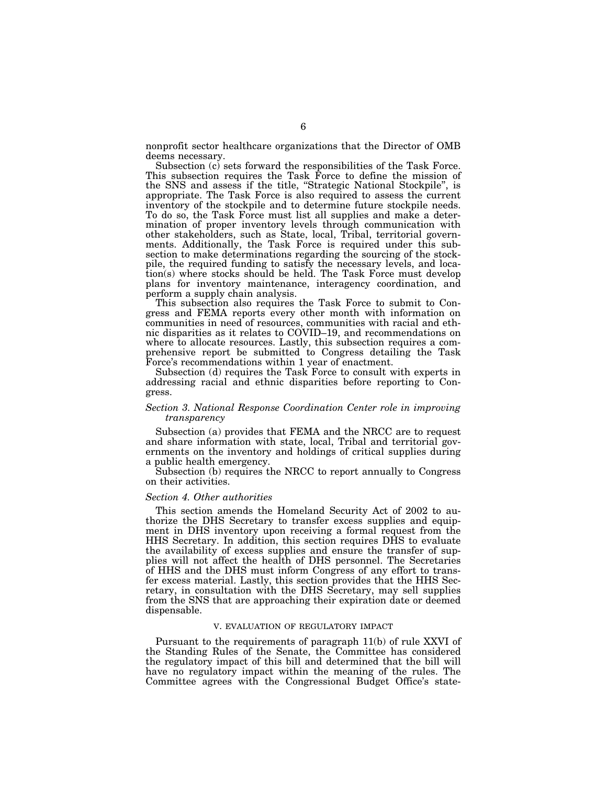nonprofit sector healthcare organizations that the Director of OMB deems necessary.

Subsection (c) sets forward the responsibilities of the Task Force. This subsection requires the Task Force to define the mission of the SNS and assess if the title, ''Strategic National Stockpile'', is appropriate. The Task Force is also required to assess the current inventory of the stockpile and to determine future stockpile needs. To do so, the Task Force must list all supplies and make a determination of proper inventory levels through communication with other stakeholders, such as State, local, Tribal, territorial governments. Additionally, the Task Force is required under this subsection to make determinations regarding the sourcing of the stockpile, the required funding to satisfy the necessary levels, and location(s) where stocks should be held. The Task Force must develop plans for inventory maintenance, interagency coordination, and perform a supply chain analysis.

This subsection also requires the Task Force to submit to Congress and FEMA reports every other month with information on communities in need of resources, communities with racial and ethnic disparities as it relates to COVID–19, and recommendations on where to allocate resources. Lastly, this subsection requires a comprehensive report be submitted to Congress detailing the Task Force's recommendations within 1 year of enactment.

Subsection (d) requires the Task Force to consult with experts in addressing racial and ethnic disparities before reporting to Congress.

# *Section 3. National Response Coordination Center role in improving transparency*

Subsection (a) provides that FEMA and the NRCC are to request and share information with state, local, Tribal and territorial governments on the inventory and holdings of critical supplies during a public health emergency.

Subsection (b) requires the NRCC to report annually to Congress on their activities.

# *Section 4. Other authorities*

This section amends the Homeland Security Act of 2002 to authorize the DHS Secretary to transfer excess supplies and equipment in DHS inventory upon receiving a formal request from the HHS Secretary. In addition, this section requires DHS to evaluate the availability of excess supplies and ensure the transfer of supplies will not affect the health of DHS personnel. The Secretaries of HHS and the DHS must inform Congress of any effort to transfer excess material. Lastly, this section provides that the HHS Secretary, in consultation with the DHS Secretary, may sell supplies from the SNS that are approaching their expiration date or deemed dispensable.

#### V. EVALUATION OF REGULATORY IMPACT

Pursuant to the requirements of paragraph 11(b) of rule XXVI of the Standing Rules of the Senate, the Committee has considered the regulatory impact of this bill and determined that the bill will have no regulatory impact within the meaning of the rules. The Committee agrees with the Congressional Budget Office's state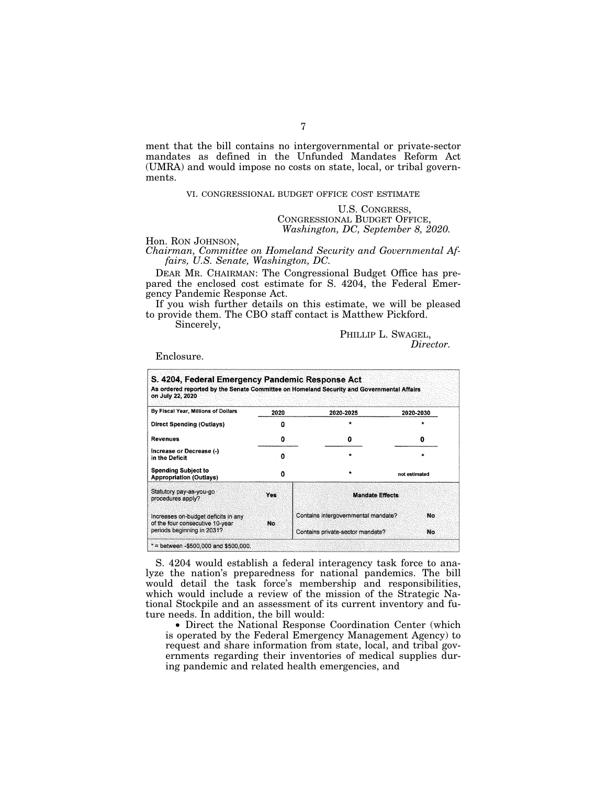ment that the bill contains no intergovernmental or private-sector mandates as defined in the Unfunded Mandates Reform Act (UMRA) and would impose no costs on state, local, or tribal governments.

# VI. CONGRESSIONAL BUDGET OFFICE COST ESTIMATE

# U.S. CONGRESS, CONGRESSIONAL BUDGET OFFICE, *Washington, DC, September 8, 2020.*

Hon. RON JOHNSON, *Chairman, Committee on Homeland Security and Governmental Affairs, U.S. Senate, Washington, DC.* 

DEAR MR. CHAIRMAN: The Congressional Budget Office has prepared the enclosed cost estimate for S. 4204, the Federal Emergency Pandemic Response Act.

If you wish further details on this estimate, we will be pleased to provide them. The CBO staff contact is Matthew Pickford.

Sincerely,

# PHILLIP L. SWAGEL, *Director.*

Enclosure.

| 2020 | 2020-2025                                 | 2020-2030     |  |
|------|-------------------------------------------|---------------|--|
| Ω    | $\star$                                   |               |  |
| 0    | o                                         | 0             |  |
| Ω    | $\bullet$                                 | ٠             |  |
| O    |                                           | not estimated |  |
| Yes  | <b>Mandate Effects</b>                    |               |  |
| No.  | Contains intergovernmental mandate?<br>No |               |  |
|      |                                           |               |  |

S. 4204 would establish a federal interagency task force to analyze the nation's preparedness for national pandemics. The bill would detail the task force's membership and responsibilities, which would include a review of the mission of the Strategic National Stockpile and an assessment of its current inventory and future needs. In addition, the bill would:

• Direct the National Response Coordination Center (which is operated by the Federal Emergency Management Agency) to request and share information from state, local, and tribal governments regarding their inventories of medical supplies during pandemic and related health emergencies, and